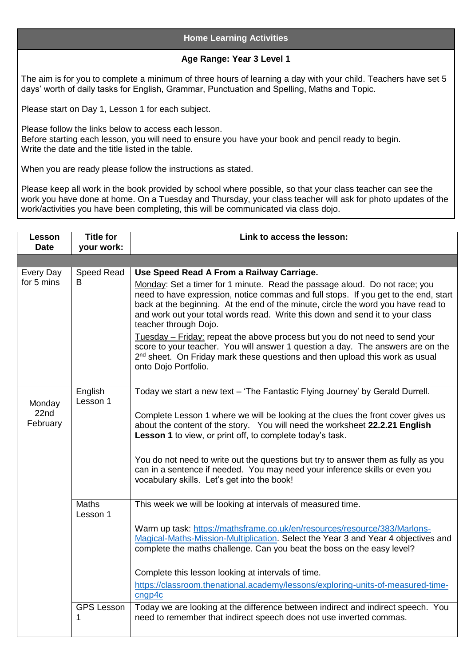## **Home Learning Activities**

## **Age Range: Year 3 Level 1**

The aim is for you to complete a minimum of three hours of learning a day with your child. Teachers have set 5 days' worth of daily tasks for English, Grammar, Punctuation and Spelling, Maths and Topic.

Please start on Day 1, Lesson 1 for each subject.

Please follow the links below to access each lesson. Before starting each lesson, you will need to ensure you have your book and pencil ready to begin. Write the date and the title listed in the table.

When you are ready please follow the instructions as stated.

Please keep all work in the book provided by school where possible, so that your class teacher can see the work you have done at home. On a Tuesday and Thursday, your class teacher will ask for photo updates of the work/activities you have been completing, this will be communicated via class dojo.

| Lesson<br><b>Date</b>      | <b>Title for</b><br>your work: | Link to access the lesson:                                                                                                                                                                                                                                                                                                                                       |
|----------------------------|--------------------------------|------------------------------------------------------------------------------------------------------------------------------------------------------------------------------------------------------------------------------------------------------------------------------------------------------------------------------------------------------------------|
|                            |                                |                                                                                                                                                                                                                                                                                                                                                                  |
| Every Day                  | Speed Read                     | Use Speed Read A From a Railway Carriage.                                                                                                                                                                                                                                                                                                                        |
| for 5 mins                 | B                              | Monday: Set a timer for 1 minute. Read the passage aloud. Do not race; you<br>need to have expression, notice commas and full stops. If you get to the end, start<br>back at the beginning. At the end of the minute, circle the word you have read to<br>and work out your total words read. Write this down and send it to your class<br>teacher through Dojo. |
|                            |                                | Tuesday - Friday: repeat the above process but you do not need to send your<br>score to your teacher. You will answer 1 question a day. The answers are on the<br>2 <sup>nd</sup> sheet. On Friday mark these questions and then upload this work as usual<br>onto Dojo Portfolio.                                                                               |
| Monday<br>22nd<br>February | English<br>Lesson 1            | Today we start a new text - 'The Fantastic Flying Journey' by Gerald Durrell.                                                                                                                                                                                                                                                                                    |
|                            |                                | Complete Lesson 1 where we will be looking at the clues the front cover gives us<br>about the content of the story. You will need the worksheet 22.2.21 English<br>Lesson 1 to view, or print off, to complete today's task.                                                                                                                                     |
|                            |                                | You do not need to write out the questions but try to answer them as fully as you<br>can in a sentence if needed. You may need your inference skills or even you<br>vocabulary skills. Let's get into the book!                                                                                                                                                  |
|                            | <b>Maths</b><br>Lesson 1       | This week we will be looking at intervals of measured time.                                                                                                                                                                                                                                                                                                      |
|                            |                                | Warm up task: https://mathsframe.co.uk/en/resources/resource/383/Marlons-<br>Magical-Maths-Mission-Multiplication. Select the Year 3 and Year 4 objectives and<br>complete the maths challenge. Can you beat the boss on the easy level?                                                                                                                         |
|                            |                                | Complete this lesson looking at intervals of time.                                                                                                                                                                                                                                                                                                               |
|                            |                                | https://classroom.thenational.academy/lessons/exploring-units-of-measured-time-<br>cngp4c                                                                                                                                                                                                                                                                        |
|                            | <b>GPS Lesson</b><br>1         | Today we are looking at the difference between indirect and indirect speech. You<br>need to remember that indirect speech does not use inverted commas.                                                                                                                                                                                                          |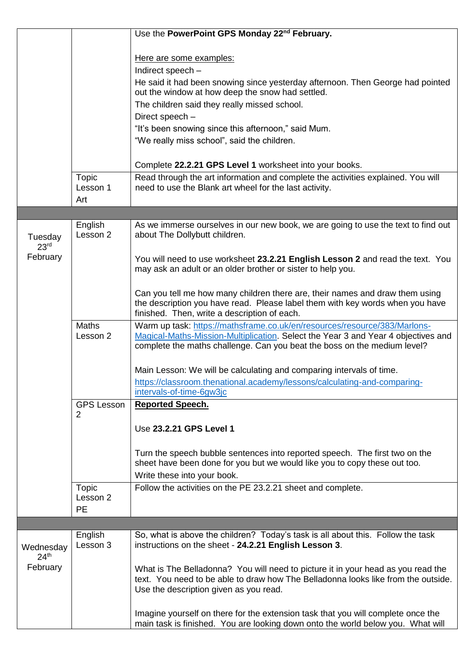|                               |                                     | Use the PowerPoint GPS Monday 22 <sup>nd</sup> February.                                                                                                                                                        |
|-------------------------------|-------------------------------------|-----------------------------------------------------------------------------------------------------------------------------------------------------------------------------------------------------------------|
|                               |                                     |                                                                                                                                                                                                                 |
|                               |                                     | Here are some examples:                                                                                                                                                                                         |
|                               |                                     | Indirect speech -                                                                                                                                                                                               |
|                               |                                     | He said it had been snowing since yesterday afternoon. Then George had pointed<br>out the window at how deep the snow had settled.                                                                              |
|                               |                                     | The children said they really missed school.                                                                                                                                                                    |
|                               |                                     | Direct speech -                                                                                                                                                                                                 |
|                               |                                     | "It's been snowing since this afternoon," said Mum.                                                                                                                                                             |
|                               |                                     | "We really miss school", said the children.                                                                                                                                                                     |
|                               |                                     |                                                                                                                                                                                                                 |
|                               |                                     | Complete 22.2.21 GPS Level 1 worksheet into your books.                                                                                                                                                         |
|                               | <b>Topic</b>                        | Read through the art information and complete the activities explained. You will                                                                                                                                |
|                               | Lesson 1                            | need to use the Blank art wheel for the last activity.                                                                                                                                                          |
|                               | Art                                 |                                                                                                                                                                                                                 |
|                               |                                     |                                                                                                                                                                                                                 |
| Tuesday<br>23 <sup>rd</sup>   | English<br>Lesson 2                 | As we immerse ourselves in our new book, we are going to use the text to find out<br>about The Dollybutt children.                                                                                              |
| February                      |                                     | You will need to use worksheet 23.2.21 English Lesson 2 and read the text. You<br>may ask an adult or an older brother or sister to help you.                                                                   |
|                               |                                     | Can you tell me how many children there are, their names and draw them using<br>the description you have read. Please label them with key words when you have<br>finished. Then, write a description of each.   |
|                               | <b>Maths</b>                        | Warm up task: https://mathsframe.co.uk/en/resources/resource/383/Marlons-                                                                                                                                       |
|                               | Lesson 2                            | Magical-Maths-Mission-Multiplication. Select the Year 3 and Year 4 objectives and<br>complete the maths challenge. Can you beat the boss on the medium level?                                                   |
|                               |                                     | Main Lesson: We will be calculating and comparing intervals of time.                                                                                                                                            |
|                               |                                     | https://classroom.thenational.academy/lessons/calculating-and-comparing-                                                                                                                                        |
|                               |                                     | intervals-of-time-6gw3jc                                                                                                                                                                                        |
|                               | <b>GPS Lesson</b><br>$\overline{2}$ | <b>Reported Speech.</b>                                                                                                                                                                                         |
|                               |                                     | Use 23.2.21 GPS Level 1                                                                                                                                                                                         |
|                               |                                     | Turn the speech bubble sentences into reported speech. The first two on the<br>sheet have been done for you but we would like you to copy these out too.                                                        |
|                               |                                     | Write these into your book.                                                                                                                                                                                     |
|                               | Topic<br>Lesson 2                   | Follow the activities on the PE 23.2.21 sheet and complete.                                                                                                                                                     |
|                               | <b>PE</b>                           |                                                                                                                                                                                                                 |
|                               |                                     |                                                                                                                                                                                                                 |
| Wednesday<br>24 <sup>th</sup> | English<br>Lesson 3                 | So, what is above the children? Today's task is all about this. Follow the task<br>instructions on the sheet - 24.2.21 English Lesson 3.                                                                        |
| February                      |                                     | What is The Belladonna? You will need to picture it in your head as you read the<br>text. You need to be able to draw how The Belladonna looks like from the outside.<br>Use the description given as you read. |
|                               |                                     | Imagine yourself on there for the extension task that you will complete once the<br>main task is finished. You are looking down onto the world below you. What will                                             |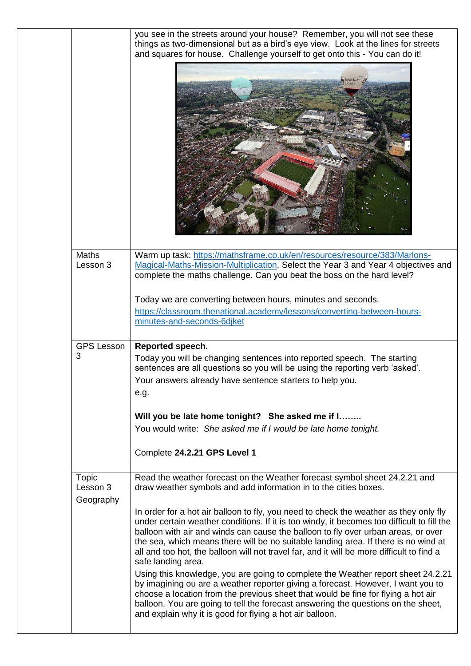|                                       | you see in the streets around your house? Remember, you will not see these<br>things as two-dimensional but as a bird's eye view. Look at the lines for streets<br>and squares for house. Challenge yourself to get onto this - You can do it!<br>JONES LANG                                            |
|---------------------------------------|---------------------------------------------------------------------------------------------------------------------------------------------------------------------------------------------------------------------------------------------------------------------------------------------------------|
| <b>Maths</b><br>Lesson 3              | Warm up task: https://mathsframe.co.uk/en/resources/resource/383/Marlons-<br>Magical-Maths-Mission-Multiplication. Select the Year 3 and Year 4 objectives and<br>complete the maths challenge. Can you beat the boss on the hard level?<br>Today we are converting between hours, minutes and seconds. |
|                                       | https://classroom.thenational.academy/lessons/converting-between-hours-<br>minutes-and-seconds-6djket                                                                                                                                                                                                   |
| <b>GPS Lesson</b><br>3                | Reported speech.<br>Today you will be changing sentences into reported speech. The starting<br>sentences are all questions so you will be using the reporting verb 'asked'.<br>Your answers already have sentence starters to help you.                                                                 |
|                                       | e.g.                                                                                                                                                                                                                                                                                                    |
|                                       | Will you be late home tonight? She asked me if I                                                                                                                                                                                                                                                        |
|                                       | You would write: She asked me if I would be late home tonight.<br>Complete 24.2.21 GPS Level 1                                                                                                                                                                                                          |
| <b>Topic</b><br>Lesson 3<br>Geography | Read the weather forecast on the Weather forecast symbol sheet 24.2.21 and<br>draw weather symbols and add information in to the cities boxes.                                                                                                                                                          |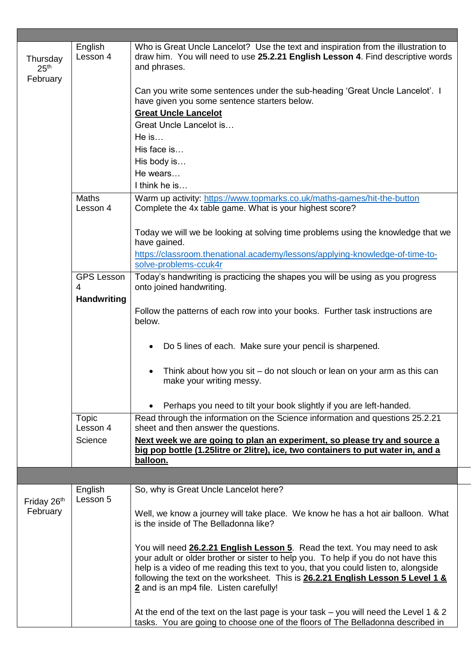| Thursday<br>25 <sup>th</sup> | English<br>Lesson 4      | Who is Great Uncle Lancelot? Use the text and inspiration from the illustration to<br>draw him. You will need to use 25.2.21 English Lesson 4. Find descriptive words<br>and phrases.                                                                                                                                                                                                 |
|------------------------------|--------------------------|---------------------------------------------------------------------------------------------------------------------------------------------------------------------------------------------------------------------------------------------------------------------------------------------------------------------------------------------------------------------------------------|
| February                     |                          |                                                                                                                                                                                                                                                                                                                                                                                       |
|                              |                          | Can you write some sentences under the sub-heading 'Great Uncle Lancelot'. I<br>have given you some sentence starters below.                                                                                                                                                                                                                                                          |
|                              |                          | <b>Great Uncle Lancelot</b>                                                                                                                                                                                                                                                                                                                                                           |
|                              |                          | Great Uncle Lancelot is                                                                                                                                                                                                                                                                                                                                                               |
|                              |                          | $He$ is                                                                                                                                                                                                                                                                                                                                                                               |
|                              |                          | His face is                                                                                                                                                                                                                                                                                                                                                                           |
|                              |                          | His body is                                                                                                                                                                                                                                                                                                                                                                           |
|                              |                          | He wears                                                                                                                                                                                                                                                                                                                                                                              |
|                              |                          | I think he is                                                                                                                                                                                                                                                                                                                                                                         |
|                              | <b>Maths</b><br>Lesson 4 | Warm up activity: https://www.topmarks.co.uk/maths-games/hit-the-button<br>Complete the 4x table game. What is your highest score?                                                                                                                                                                                                                                                    |
|                              |                          | Today we will we be looking at solving time problems using the knowledge that we<br>have gained.                                                                                                                                                                                                                                                                                      |
|                              |                          | https://classroom.thenational.academy/lessons/applying-knowledge-of-time-to-<br>solve-problems-ccuk4r                                                                                                                                                                                                                                                                                 |
|                              | <b>GPS Lesson</b>        | Today's handwriting is practicing the shapes you will be using as you progress                                                                                                                                                                                                                                                                                                        |
|                              | 4                        | onto joined handwriting.                                                                                                                                                                                                                                                                                                                                                              |
|                              | <b>Handwriting</b>       |                                                                                                                                                                                                                                                                                                                                                                                       |
|                              |                          | Follow the patterns of each row into your books. Further task instructions are<br>below.                                                                                                                                                                                                                                                                                              |
|                              |                          | Do 5 lines of each. Make sure your pencil is sharpened.                                                                                                                                                                                                                                                                                                                               |
|                              |                          | Think about how you sit – do not slouch or lean on your arm as this can<br>make your writing messy.                                                                                                                                                                                                                                                                                   |
|                              |                          | Perhaps you need to tilt your book slightly if you are left-handed.                                                                                                                                                                                                                                                                                                                   |
|                              | Topic<br>Lesson 4        | Read through the information on the Science information and questions 25.2.21<br>sheet and then answer the questions.                                                                                                                                                                                                                                                                 |
|                              | Science                  | Next week we are going to plan an experiment, so please try and source a<br>big pop bottle (1.25litre or 2litre), ice, two containers to put water in, and a                                                                                                                                                                                                                          |
|                              |                          | balloon.                                                                                                                                                                                                                                                                                                                                                                              |
|                              |                          |                                                                                                                                                                                                                                                                                                                                                                                       |
| Friday 26th<br>February      | English<br>Lesson 5      | So, why is Great Uncle Lancelot here?                                                                                                                                                                                                                                                                                                                                                 |
|                              |                          | Well, we know a journey will take place. We know he has a hot air balloon. What<br>is the inside of The Belladonna like?                                                                                                                                                                                                                                                              |
|                              |                          | You will need 26.2.21 English Lesson 5. Read the text. You may need to ask<br>your adult or older brother or sister to help you. To help if you do not have this<br>help is a video of me reading this text to you, that you could listen to, alongside<br>following the text on the worksheet. This is 26.2.21 English Lesson 5 Level 1 &<br>2 and is an mp4 file. Listen carefully! |
|                              |                          | At the end of the text on the last page is your task $-$ you will need the Level 1 & 2<br>tasks. You are going to choose one of the floors of The Belladonna described in                                                                                                                                                                                                             |